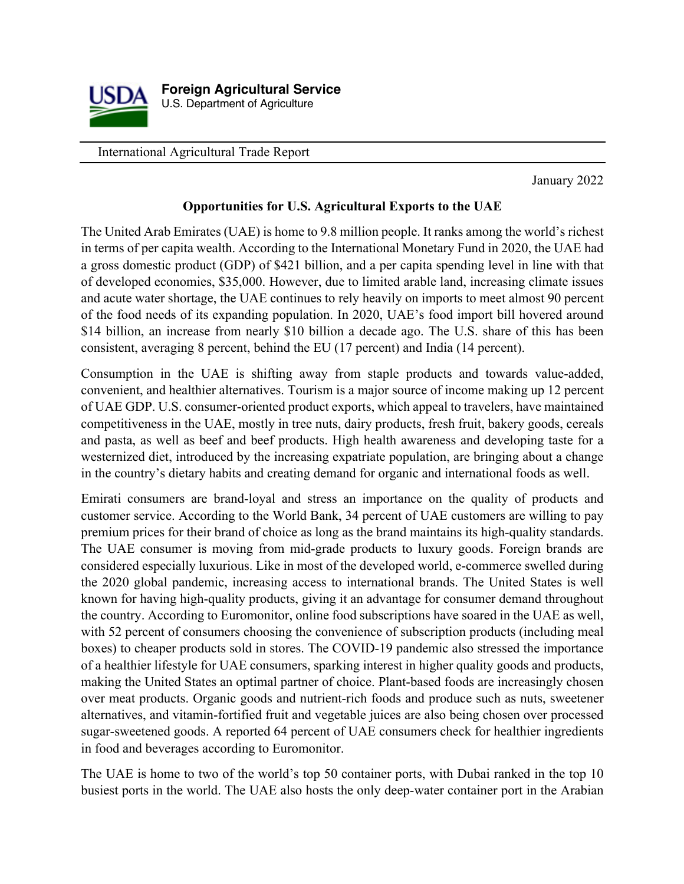

International Agricultural Trade Report

January 2022

#### **Opportunities for U.S. Agricultural Exports to the UAE**

The United Arab Emirates (UAE) is home to 9.8 million people. It ranks among the world's richest in terms of per capita wealth. According to the International Monetary Fund in 2020, the UAE had a gross domestic product (GDP) of \$421 billion, and a per capita spending level in line with that of developed economies, \$35,000. However, due to limited arable land, increasing climate issues and acute water shortage, the UAE continues to rely heavily on imports to meet almost 90 percent of the food needs of its expanding population. In 2020, UAE's food import bill hovered around \$14 billion, an increase from nearly \$10 billion a decade ago. The U.S. share of this has been consistent, averaging 8 percent, behind the EU (17 percent) and India (14 percent).

Consumption in the UAE is shifting away from staple products and towards value-added, convenient, and healthier alternatives. Tourism is a major source of income making up 12 percent of UAE GDP. U.S. consumer-oriented product exports, which appeal to travelers, have maintained competitiveness in the UAE, mostly in tree nuts, dairy products, fresh fruit, bakery goods, cereals and pasta, as well as beef and beef products. High health awareness and developing taste for a westernized diet, introduced by the increasing expatriate population, are bringing about a change in the country's dietary habits and creating demand for organic and international foods as well.

Emirati consumers are brand-loyal and stress an importance on the quality of products and customer service. According to the World Bank, 34 percent of UAE customers are willing to pay premium prices for their brand of choice as long as the brand maintains its high-quality standards. The UAE consumer is moving from mid-grade products to luxury goods. Foreign brands are considered especially luxurious. Like in most of the developed world, e-commerce swelled during the 2020 global pandemic, increasing access to international brands. The United States is well known for having high-quality products, giving it an advantage for consumer demand throughout the country. According to Euromonitor, online food subscriptions have soared in the UAE as well, with 52 percent of consumers choosing the convenience of subscription products (including meal boxes) to cheaper products sold in stores. The COVID-19 pandemic also stressed the importance of a healthier lifestyle for UAE consumers, sparking interest in higher quality goods and products, making the United States an optimal partner of choice. Plant-based foods are increasingly chosen over meat products. Organic goods and nutrient-rich foods and produce such as nuts, sweetener alternatives, and vitamin-fortified fruit and vegetable juices are also being chosen over processed sugar-sweetened goods. A reported 64 percent of UAE consumers check for healthier ingredients in food and beverages according to Euromonitor.

The UAE is home to two of the world's top 50 container ports, with Dubai ranked in the top 10 busiest ports in the world. The UAE also hosts the only deep-water container port in the Arabian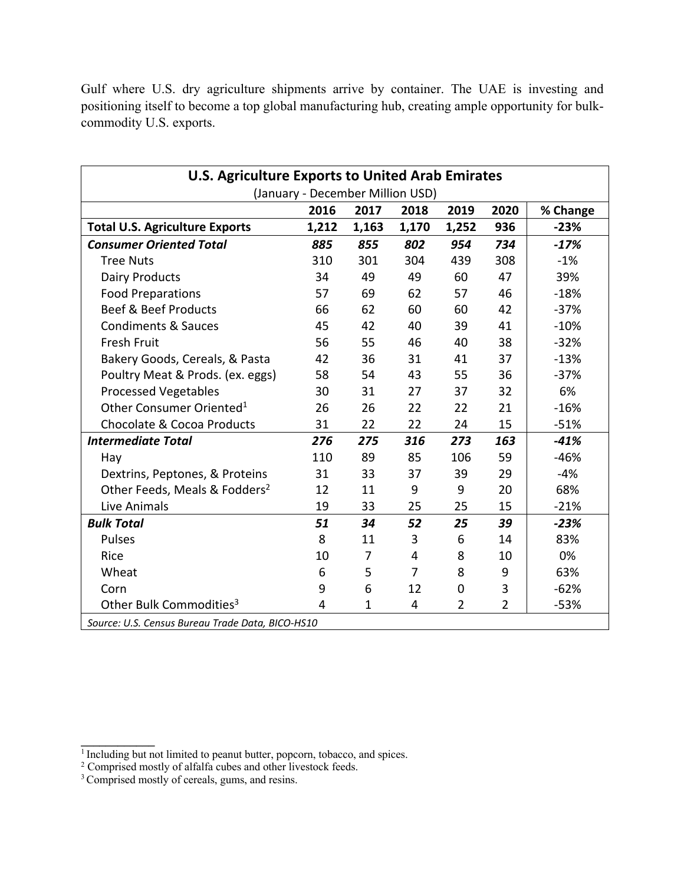| <b>U.S. Agriculture Exports to United Arab Emirates</b> |       |              |                |             |                |          |
|---------------------------------------------------------|-------|--------------|----------------|-------------|----------------|----------|
| (January - December Million USD)                        |       |              |                |             |                |          |
|                                                         | 2016  | 2017         | 2018           | 2019        | 2020           | % Change |
| <b>Total U.S. Agriculture Exports</b>                   | 1,212 | 1,163        | 1,170          | 1,252       | 936            | $-23%$   |
| <b>Consumer Oriented Total</b>                          | 885   | 855          | 802            | 954         | 734            | $-17%$   |
| <b>Tree Nuts</b>                                        | 310   | 301          | 304            | 439         | 308            | $-1%$    |
| <b>Dairy Products</b>                                   | 34    | 49           | 49             | 60          | 47             | 39%      |
| <b>Food Preparations</b>                                | 57    | 69           | 62             | 57          | 46             | $-18%$   |
| <b>Beef &amp; Beef Products</b>                         | 66    | 62           | 60             | 60          | 42             | $-37%$   |
| <b>Condiments &amp; Sauces</b>                          | 45    | 42           | 40             | 39          | 41             | $-10%$   |
| <b>Fresh Fruit</b>                                      | 56    | 55           | 46             | 40          | 38             | $-32%$   |
| Bakery Goods, Cereals, & Pasta                          | 42    | 36           | 31             | 41          | 37             | $-13%$   |
| Poultry Meat & Prods. (ex. eggs)                        | 58    | 54           | 43             | 55          | 36             | $-37%$   |
| <b>Processed Vegetables</b>                             | 30    | 31           | 27             | 37          | 32             | 6%       |
| Other Consumer Oriented <sup>1</sup>                    | 26    | 26           | 22             | 22          | 21             | $-16%$   |
| <b>Chocolate &amp; Cocoa Products</b>                   | 31    | 22           | 22             | 24          | 15             | $-51%$   |
| <b>Intermediate Total</b>                               | 276   | 275          | 316            | 273         | 163            | $-41%$   |
| Hay                                                     | 110   | 89           | 85             | 106         | 59             | $-46%$   |
| Dextrins, Peptones, & Proteins                          | 31    | 33           | 37             | 39          | 29             | $-4%$    |
| Other Feeds, Meals & Fodders <sup>2</sup>               | 12    | 11           | 9              | 9           | 20             | 68%      |
| Live Animals                                            | 19    | 33           | 25             | 25          | 15             | $-21%$   |
| <b>Bulk Total</b>                                       | 51    | 34           | 52             | 25          | 39             | $-23%$   |
| <b>Pulses</b>                                           | 8     | 11           | 3              | 6           | 14             | 83%      |
| Rice                                                    | 10    | 7            | 4              | 8           | 10             | 0%       |
| Wheat                                                   | 6     | 5            | $\overline{7}$ | 8           | 9              | 63%      |
| Corn                                                    | 9     | 6            | 12             | $\mathbf 0$ | 3              | $-62%$   |
| Other Bulk Commodities <sup>3</sup>                     | 4     | $\mathbf{1}$ | 4              | 2           | $\overline{2}$ | $-53%$   |
| Source: U.S. Census Bureau Trade Data, BICO-HS10        |       |              |                |             |                |          |

Gulf where U.S. dry agriculture shipments arrive by container. The UAE is investing and positioning itself to become a top global manufacturing hub, creating ample opportunity for bulkcommodity U.S. exports.

**\_\_\_\_\_\_\_\_\_\_\_\_**

 $<sup>1</sup>$  Including but not limited to peanut butter, popcorn, tobacco, and spices.</sup>

 $2$  Comprised mostly of alfalfa cubes and other livestock feeds.

<sup>&</sup>lt;sup>3</sup> Comprised mostly of cereals, gums, and resins.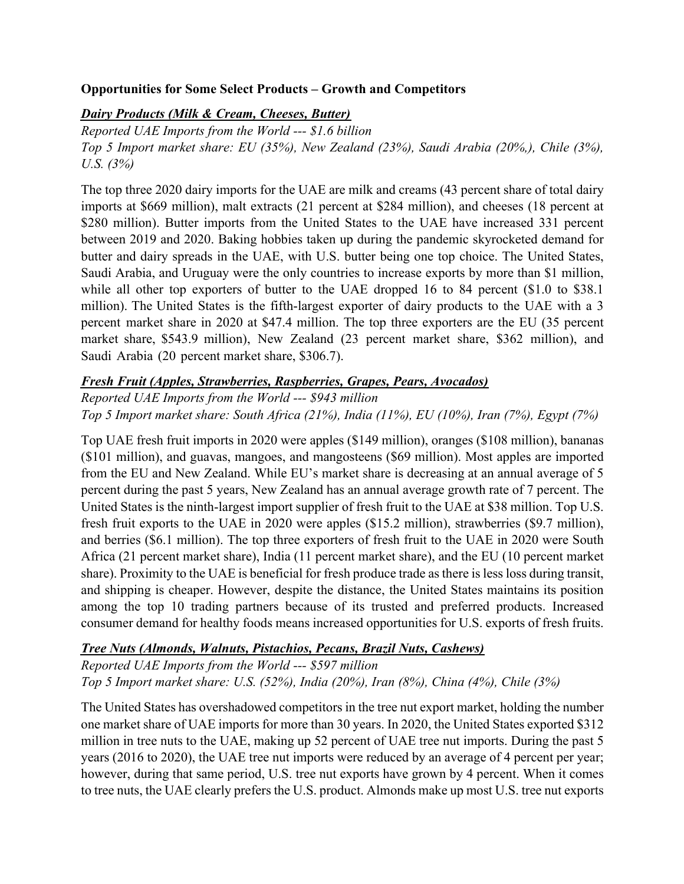### **Opportunities for Some Select Products – Growth and Competitors**

# *Dairy Products (Milk & Cream, Cheeses, Butter)*

*Reported UAE Imports from the World --- \$1.6 billion Top 5 Import market share: EU (35%), New Zealand (23%), Saudi Arabia (20%,), Chile (3%), U.S. (3%)* 

The top three 2020 dairy imports for the UAE are milk and creams (43 percent share of total dairy imports at \$669 million), malt extracts (21 percent at \$284 million), and cheeses (18 percent at \$280 million). Butter imports from the United States to the UAE have increased 331 percent between 2019 and 2020. Baking hobbies taken up during the pandemic skyrocketed demand for butter and dairy spreads in the UAE, with U.S. butter being one top choice. The United States, Saudi Arabia, and Uruguay were the only countries to increase exports by more than \$1 million, while all other top exporters of butter to the UAE dropped 16 to 84 percent (\$1.0 to \$38.1) million). The United States is the fifth-largest exporter of dairy products to the UAE with a 3 percent market share in 2020 at \$47.4 million. The top three exporters are the EU (35 percent market share, \$543.9 million), New Zealand (23 percent market share, \$362 million), and Saudi Arabia (20 percent market share, \$306.7).

## *Fresh Fruit (Apples, Strawberries, Raspberries, Grapes, Pears, Avocados)*

*Reported UAE Imports from the World --- \$943 million Top 5 Import market share: South Africa (21%), India (11%), EU (10%), Iran (7%), Egypt (7%)* 

Top UAE fresh fruit imports in 2020 were apples (\$149 million), oranges (\$108 million), bananas (\$101 million), and guavas, mangoes, and mangosteens (\$69 million). Most apples are imported from the EU and New Zealand. While EU's market share is decreasing at an annual average of 5 percent during the past 5 years, New Zealand has an annual average growth rate of 7 percent. The United States is the ninth-largest import supplier of fresh fruit to the UAE at \$38 million. Top U.S. fresh fruit exports to the UAE in 2020 were apples (\$15.2 million), strawberries (\$9.7 million), and berries (\$6.1 million). The top three exporters of fresh fruit to the UAE in 2020 were South Africa (21 percent market share), India (11 percent market share), and the EU (10 percent market share). Proximity to the UAE is beneficial for fresh produce trade as there is less loss during transit, and shipping is cheaper. However, despite the distance, the United States maintains its position among the top 10 trading partners because of its trusted and preferred products. Increased consumer demand for healthy foods means increased opportunities for U.S. exports of fresh fruits.

## *Tree Nuts (Almonds, Walnuts, Pistachios, Pecans, Brazil Nuts, Cashews)*

*Reported UAE Imports from the World --- \$597 million Top 5 Import market share: U.S. (52%), India (20%), Iran (8%), China (4%), Chile (3%)* 

The United States has overshadowed competitors in the tree nut export market, holding the number one market share of UAE imports for more than 30 years. In 2020, the United States exported \$312 million in tree nuts to the UAE, making up 52 percent of UAE tree nut imports. During the past 5 years (2016 to 2020), the UAE tree nut imports were reduced by an average of 4 percent per year; however, during that same period, U.S. tree nut exports have grown by 4 percent. When it comes to tree nuts, the UAE clearly prefers the U.S. product. Almonds make up most U.S. tree nut exports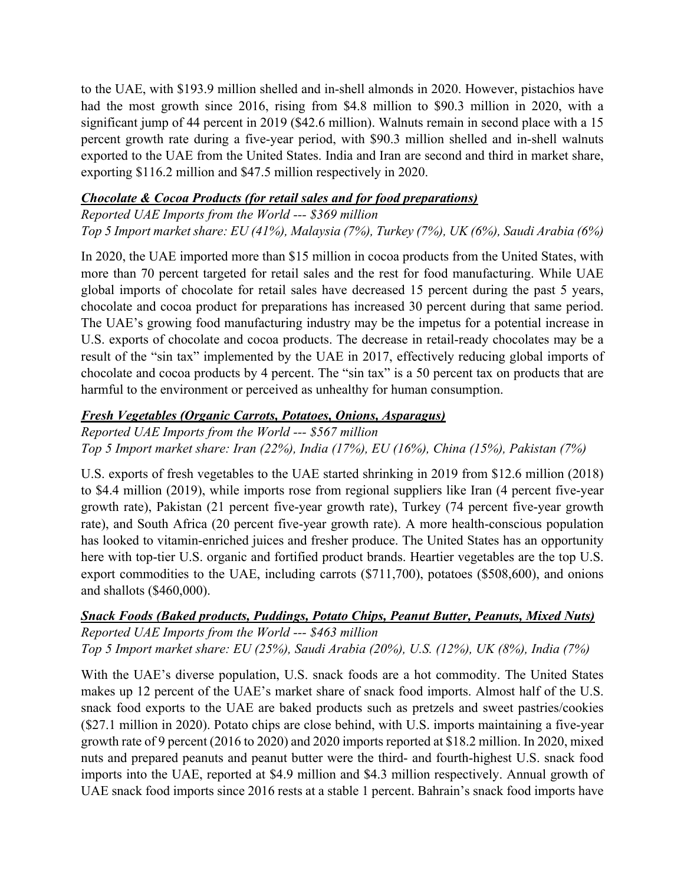to the UAE, with \$193.9 million shelled and in-shell almonds in 2020. However, pistachios have had the most growth since 2016, rising from \$4.8 million to \$90.3 million in 2020, with a significant jump of 44 percent in 2019 (\$42.6 million). Walnuts remain in second place with a 15 percent growth rate during a five-year period, with \$90.3 million shelled and in-shell walnuts exported to the UAE from the United States. India and Iran are second and third in market share, exporting \$116.2 million and \$47.5 million respectively in 2020.

### *Chocolate & Cocoa Products (for retail sales and for food preparations)*

*Reported UAE Imports from the World --- \$369 million Top 5 Import market share: EU (41%), Malaysia (7%), Turkey (7%), UK (6%), Saudi Arabia (6%)*

In 2020, the UAE imported more than \$15 million in cocoa products from the United States, with more than 70 percent targeted for retail sales and the rest for food manufacturing. While UAE global imports of chocolate for retail sales have decreased 15 percent during the past 5 years, chocolate and cocoa product for preparations has increased 30 percent during that same period. The UAE's growing food manufacturing industry may be the impetus for a potential increase in U.S. exports of chocolate and cocoa products. The decrease in retail-ready chocolates may be a result of the "sin tax" implemented by the UAE in 2017, effectively reducing global imports of chocolate and cocoa products by 4 percent. The "sin tax" is a 50 percent tax on products that are harmful to the environment or perceived as unhealthy for human consumption.

## *Fresh Vegetables (Organic Carrots, Potatoes, Onions, Asparagus)*

*Reported UAE Imports from the World --- \$567 million Top 5 Import market share: Iran (22%), India (17%), EU (16%), China (15%), Pakistan (7%)*

U.S. exports of fresh vegetables to the UAE started shrinking in 2019 from \$12.6 million (2018) to \$4.4 million (2019), while imports rose from regional suppliers like Iran (4 percent five-year growth rate), Pakistan (21 percent five-year growth rate), Turkey (74 percent five-year growth rate), and South Africa (20 percent five-year growth rate). A more health-conscious population has looked to vitamin-enriched juices and fresher produce. The United States has an opportunity here with top-tier U.S. organic and fortified product brands. Heartier vegetables are the top U.S. export commodities to the UAE, including carrots (\$711,700), potatoes (\$508,600), and onions and shallots (\$460,000).

#### *Snack Foods (Baked products, Puddings, Potato Chips, Peanut Butter, Peanuts, Mixed Nuts) Reported UAE Imports from the World --- \$463 million Top 5 Import market share: EU (25%), Saudi Arabia (20%), U.S. (12%), UK (8%), India (7%)*

With the UAE's diverse population, U.S. snack foods are a hot commodity. The United States makes up 12 percent of the UAE's market share of snack food imports. Almost half of the U.S. snack food exports to the UAE are baked products such as pretzels and sweet pastries/cookies (\$27.1 million in 2020). Potato chips are close behind, with U.S. imports maintaining a five-year growth rate of 9 percent (2016 to 2020) and 2020 imports reported at \$18.2 million. In 2020, mixed nuts and prepared peanuts and peanut butter were the third- and fourth-highest U.S. snack food imports into the UAE, reported at \$4.9 million and \$4.3 million respectively. Annual growth of UAE snack food imports since 2016 rests at a stable 1 percent. Bahrain's snack food imports have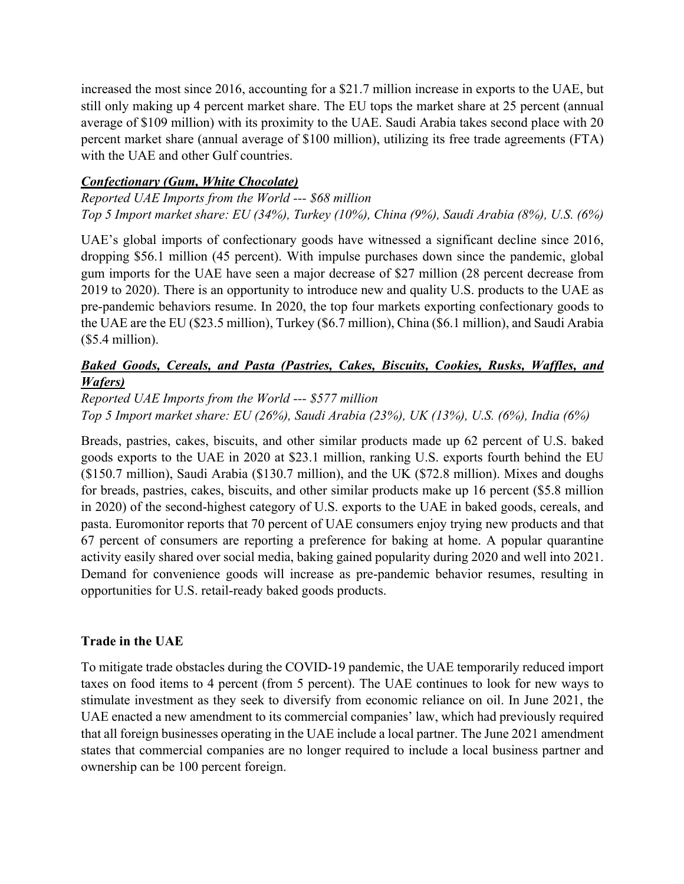increased the most since 2016, accounting for a \$21.7 million increase in exports to the UAE, but still only making up 4 percent market share. The EU tops the market share at 25 percent (annual average of \$109 million) with its proximity to the UAE. Saudi Arabia takes second place with 20 percent market share (annual average of \$100 million), utilizing its free trade agreements (FTA) with the UAE and other Gulf countries.

### *Confectionary (Gum, White Chocolate)*

*Reported UAE Imports from the World --- \$68 million Top 5 Import market share: EU (34%), Turkey (10%), China (9%), Saudi Arabia (8%), U.S. (6%)*

UAE's global imports of confectionary goods have witnessed a significant decline since 2016, dropping \$56.1 million (45 percent). With impulse purchases down since the pandemic, global gum imports for the UAE have seen a major decrease of \$27 million (28 percent decrease from 2019 to 2020). There is an opportunity to introduce new and quality U.S. products to the UAE as pre-pandemic behaviors resume. In 2020, the top four markets exporting confectionary goods to the UAE are the EU (\$23.5 million), Turkey (\$6.7 million), China (\$6.1 million), and Saudi Arabia (\$5.4 million).

### *Baked Goods, Cereals, and Pasta (Pastries, Cakes, Biscuits, Cookies, Rusks, Waffles, and Wafers)*

*Reported UAE Imports from the World --- \$577 million Top 5 Import market share: EU (26%), Saudi Arabia (23%), UK (13%), U.S. (6%), India (6%)*

Breads, pastries, cakes, biscuits, and other similar products made up 62 percent of U.S. baked goods exports to the UAE in 2020 at \$23.1 million, ranking U.S. exports fourth behind the EU (\$150.7 million), Saudi Arabia (\$130.7 million), and the UK (\$72.8 million). Mixes and doughs for breads, pastries, cakes, biscuits, and other similar products make up 16 percent (\$5.8 million in 2020) of the second-highest category of U.S. exports to the UAE in baked goods, cereals, and pasta. Euromonitor reports that 70 percent of UAE consumers enjoy trying new products and that 67 percent of consumers are reporting a preference for baking at home. A popular quarantine activity easily shared over social media, baking gained popularity during 2020 and well into 2021. Demand for convenience goods will increase as pre-pandemic behavior resumes, resulting in opportunities for U.S. retail-ready baked goods products.

#### **Trade in the UAE**

To mitigate trade obstacles during the COVID-19 pandemic, the UAE temporarily reduced import taxes on food items to 4 percent (from 5 percent). The UAE continues to look for new ways to stimulate investment as they seek to diversify from economic reliance on oil. In June 2021, the UAE enacted a new amendment to its commercial companies' law, which had previously required that all foreign businesses operating in the UAE include a local partner. The June 2021 amendment states that commercial companies are no longer required to include a local business partner and ownership can be 100 percent foreign.